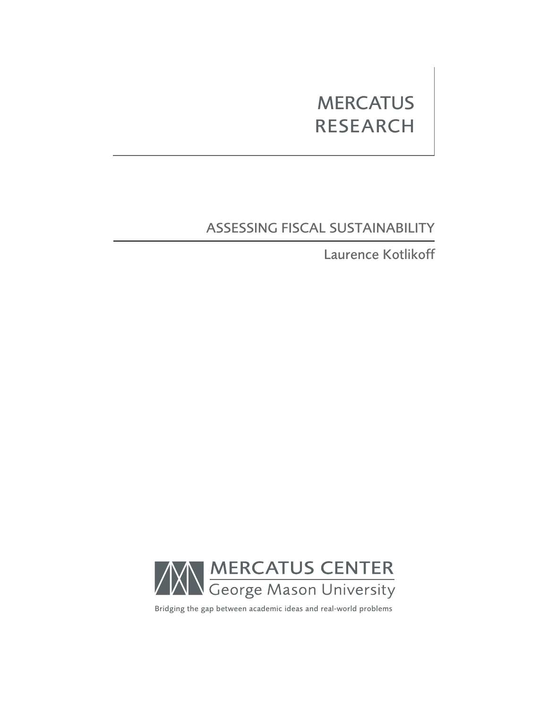# **MERCATUS RESEARCH**

# Assessing Fiscal Sustainability

Laurence Kotlikoff



Bridging the gap between academic ideas and real-world problems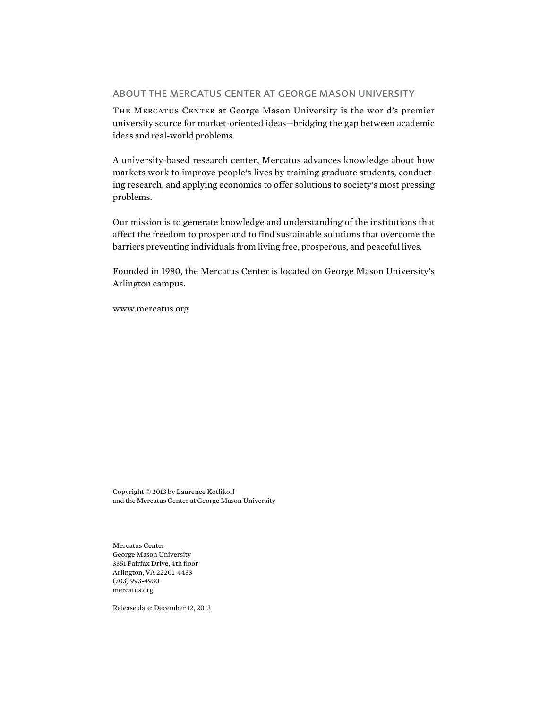# About the Mercatus Center at George Mason University

The Mercatus Center at George Mason University is the world's premier university source for market-oriented ideas—bridging the gap between academic ideas and real-world problems.

A university-based research center, Mercatus advances knowledge about how markets work to improve people's lives by training graduate students, conducting research, and applying economics to offer solutions to society's most pressing problems.

Our mission is to generate knowledge and understanding of the institutions that affect the freedom to prosper and to find sustainable solutions that overcome the barriers preventing individuals from living free, prosperous, and peaceful lives.

Founded in 1980, the Mercatus Center is located on George Mason University's Arlington campus.

<www.mercatus.org>

Copyright © 2013 by Laurence Kotlikoff and the Mercatus Center at George Mason University

Mercatus Center George Mason University 3351 Fairfax Drive, 4th floor Arlington, VA 22201-4433 (703) 993-4930 mercatus.org

Release date: December 12, 2013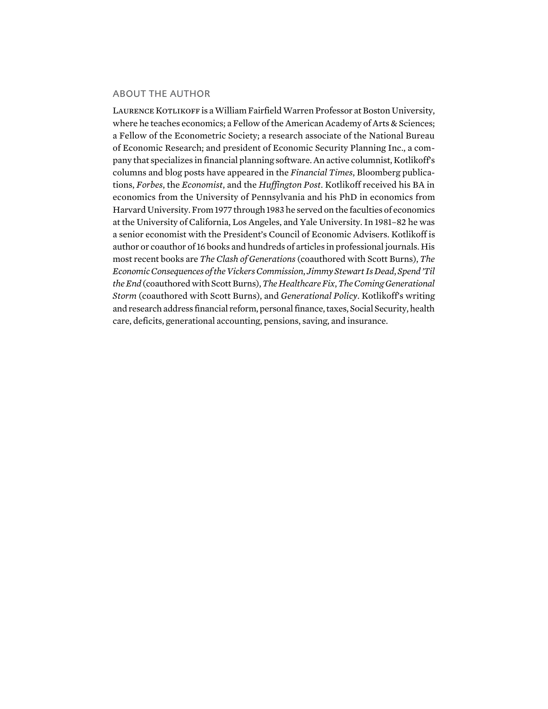### About the Author

LAURENCE KOTLIKOFF is a William Fairfield Warren Professor at Boston University, where he teaches economics; a Fellow of the American Academy of Arts & Sciences; a Fellow of the Econometric Society; a research associate of the National Bureau of Economic Research; and president of Economic Security Planning Inc., a company that specializes in financial planning software. An active columnist, Kotlikoff's columns and blog posts have appeared in the *Financial Times*, Bloomberg publications, *Forbes*, the *Economist*, and the *Huffington Post*. Kotlikoff received his BA in economics from the University of Pennsylvania and his PhD in economics from Harvard University. From 1977 through 1983 he served on the faculties of economics at the University of California, Los Angeles, and Yale University. In 1981–82 he was a senior economist with the President's Council of Economic Advisers. Kotlikoff is author or coauthor of 16 books and hundreds of articles in professional journals. His most recent books are *The Clash of Generations* (coauthored with Scott Burns), *The Economic Consequences of the Vickers Commission*, *Jimmy Stewart Is Dead*, *Spend 'Til the End* (coauthored with Scott Burns), *The Healthcare Fix*, *The Coming Generational Storm* (coauthored with Scott Burns), and *Generational Policy*. Kotlikoff's writing and research address financial reform, personal finance, taxes, Social Security, health care, deficits, generational accounting, pensions, saving, and insurance.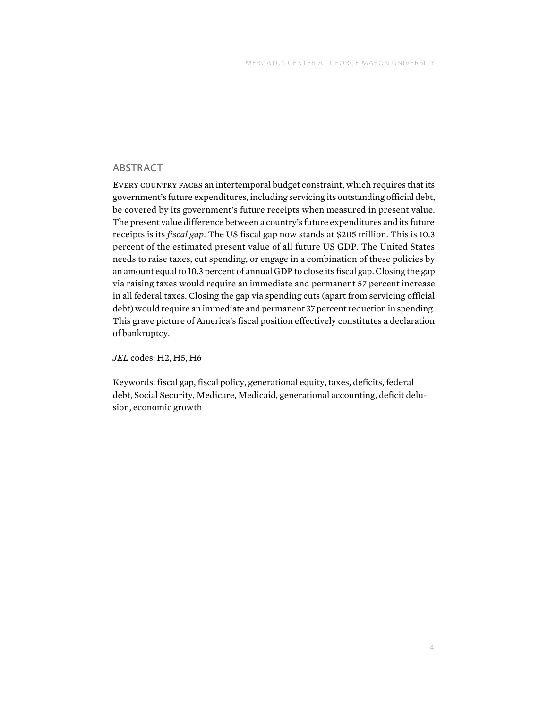# **ABSTRACT**

Every country faces an intertemporal budget constraint, which requires that its government's future expenditures, including servicing its outstanding official debt, be covered by its government's future receipts when measured in present value. The present value difference between a country's future expenditures and its future receipts is its *fiscal gap*. The US fiscal gap now stands at \$205 trillion. This is 10.3 percent of the estimated present value of all future US GDP. The United States needs to raise taxes, cut spending, or engage in a combination of these policies by an amount equal to 10.3 percent of annual GDP to close its fiscal gap. Closing the gap via raising taxes would require an immediate and permanent 57 percent increase in all federal taxes. Closing the gap via spending cuts (apart from servicing official debt) would require an immediate and permanent 37 percent reduction in spending. This grave picture of America's fiscal position effectively constitutes a declaration of bankruptcy.

*JEL* codes: H2, H5, H6

Keywords: fiscal gap, fiscal policy, generational equity, taxes, deficits, federal debt, Social Security, Medicare, Medicaid, generational accounting, deficit delusion, economic growth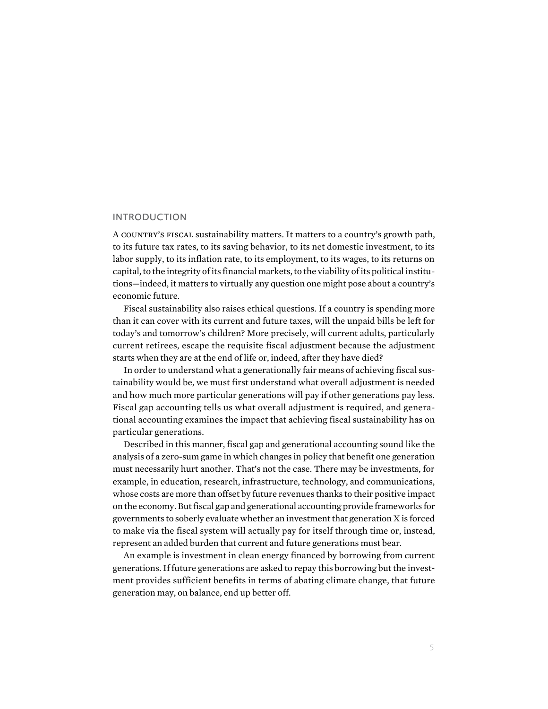#### **INTRODUCTION**

A country's fiscal sustainability matters. It matters to a country's growth path, to its future tax rates, to its saving behavior, to its net domestic investment, to its labor supply, to its inflation rate, to its employment, to its wages, to its returns on capital, to the integrity of its financial markets, to the viability of its political institutions—indeed, it matters to virtually any question one might pose about a country's economic future.

Fiscal sustainability also raises ethical questions. If a country is spending more than it can cover with its current and future taxes, will the unpaid bills be left for today's and tomorrow's children? More precisely, will current adults, particularly current retirees, escape the requisite fiscal adjustment because the adjustment starts when they are at the end of life or, indeed, after they have died?

In order to understand what a generationally fair means of achieving fiscal sustainability would be, we must first understand what overall adjustment is needed and how much more particular generations will pay if other generations pay less. Fiscal gap accounting tells us what overall adjustment is required, and generational accounting examines the impact that achieving fiscal sustainability has on particular generations.

Described in this manner, fiscal gap and generational accounting sound like the analysis of a zero-sum game in which changes in policy that benefit one generation must necessarily hurt another. That's not the case. There may be investments, for example, in education, research, infrastructure, technology, and communications, whose costs are more than offset by future revenues thanks to their positive impact on the economy. But fiscal gap and generational accounting provide frameworks for governments to soberly evaluate whether an investment that generation X is forced to make via the fiscal system will actually pay for itself through time or, instead, represent an added burden that current and future generations must bear.

An example is investment in clean energy financed by borrowing from current generations. If future generations are asked to repay this borrowing but the investment provides sufficient benefits in terms of abating climate change, that future generation may, on balance, end up better off.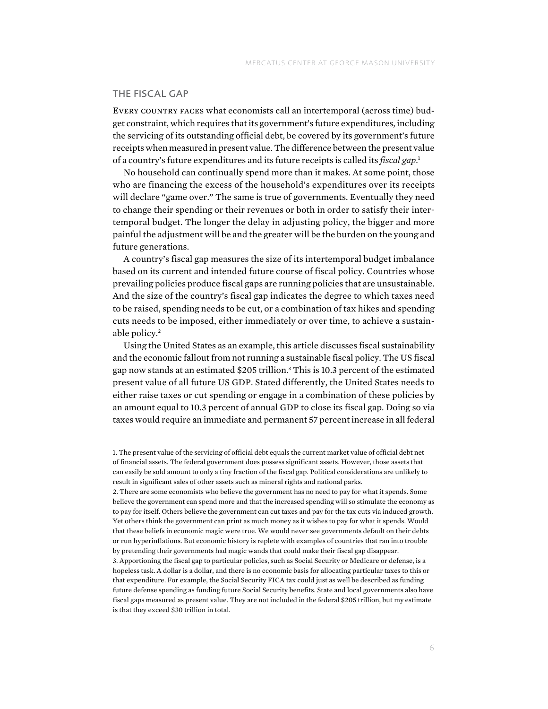### The Fiscal Gap

Every country faces what economists call an intertemporal (across time) budget constraint, which requires that its government's future expenditures, including the servicing of its outstanding official debt, be covered by its government's future receipts when measured in present value. The difference between the present value of a country's future expenditures and its future receipts is called its *fiscal gap*. 1

No household can continually spend more than it makes. At some point, those who are financing the excess of the household's expenditures over its receipts will declare "game over." The same is true of governments. Eventually they need to change their spending or their revenues or both in order to satisfy their intertemporal budget. The longer the delay in adjusting policy, the bigger and more painful the adjustment will be and the greater will be the burden on the young and future generations.

A country's fiscal gap measures the size of its intertemporal budget imbalance based on its current and intended future course of fiscal policy. Countries whose prevailing policies produce fiscal gaps are running policies that are unsustainable. And the size of the country's fiscal gap indicates the degree to which taxes need to be raised, spending needs to be cut, or a combination of tax hikes and spending cuts needs to be imposed, either immediately or over time, to achieve a sustainable policy.<sup>2</sup>

Using the United States as an example, this article discusses fiscal sustainability and the economic fallout from not running a sustainable fiscal policy. The US fiscal gap now stands at an estimated \$205 trillion.3 This is 10.3 percent of the estimated present value of all future US GDP. Stated differently, the United States needs to either raise taxes or cut spending or engage in a combination of these policies by an amount equal to 10.3 percent of annual GDP to close its fiscal gap. Doing so via taxes would require an immediate and permanent 57 percent increase in all federal

<sup>1.</sup> The present value of the servicing of official debt equals the current market value of official debt net of financial assets. The federal government does possess significant assets. However, those assets that can easily be sold amount to only a tiny fraction of the fiscal gap. Political considerations are unlikely to result in significant sales of other assets such as mineral rights and national parks.

<sup>2.</sup> There are some economists who believe the government has no need to pay for what it spends. Some believe the government can spend more and that the increased spending will so stimulate the economy as to pay for itself. Others believe the government can cut taxes and pay for the tax cuts via induced growth. Yet others think the government can print as much money as it wishes to pay for what it spends. Would that these beliefs in economic magic were true. We would never see governments default on their debts or run hyperinflations. But economic history is replete with examples of countries that ran into trouble by pretending their governments had magic wands that could make their fiscal gap disappear.

<sup>3.</sup> Apportioning the fiscal gap to particular policies, such as Social Security or Medicare or defense, is a hopeless task. A dollar is a dollar, and there is no economic basis for allocating particular taxes to this or that expenditure. For example, the Social Security FICA tax could just as well be described as funding future defense spending as funding future Social Security benefits. State and local governments also have fiscal gaps measured as present value. They are not included in the federal \$205 trillion, but my estimate is that they exceed \$30 trillion in total.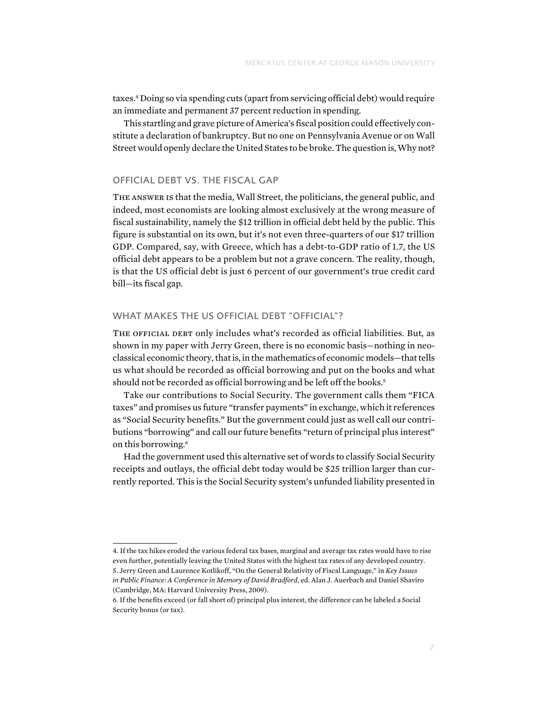taxes.4 Doing so via spending cuts (apart from servicing official debt) would require an immediate and permanent 37 percent reduction in spending.

This startling and grave picture of America's fiscal position could effectively constitute a declaration of bankruptcy. But no one on Pennsylvania Avenue or on Wall Street would openly declare the United States to be broke. The question is, Why not?

# Official Debt vs. the Fiscal Gap

The answer is that the media, Wall Street, the politicians, the general public, and indeed, most economists are looking almost exclusively at the wrong measure of fiscal sustainability, namely the \$12 trillion in official debt held by the public. This figure is substantial on its own, but it's not even three-quarters of our \$17 trillion GDP. Compared, say, with Greece, which has a debt-to-GDP ratio of 1.7, the US official debt appears to be a problem but not a grave concern. The reality, though, is that the US official debt is just 6 percent of our government's true credit card bill—its fiscal gap.

#### WHAT MAKES THE US OFFICIAL DEBT "OFFICIAL"?

THE OFFICIAL DEBT only includes what's recorded as official liabilities. But, as shown in my paper with Jerry Green, there is no economic basis—nothing in neoclassical economic theory, that is, in the mathematics of economic models—that tells us what should be recorded as official borrowing and put on the books and what should not be recorded as official borrowing and be left off the books.<sup>5</sup>

Take our contributions to Social Security. The government calls them "FICA taxes" and promises us future "transfer payments" in exchange, which it references as "Social Security benefits." But the government could just as well call our contributions "borrowing" and call our future benefits "return of principal plus interest" on this borrowing.<sup>6</sup>

Had the government used this alternative set of words to classify Social Security receipts and outlays, the official debt today would be \$25 trillion larger than currently reported. This is the Social Security system's unfunded liability presented in

4. If the tax hikes eroded the various federal tax bases, marginal and average tax rates would have to rise even further, potentially leaving the United States with the highest tax rates of any developed country. 5. Jerry Green and Laurence Kotlikoff, "On the General Relativity of Fiscal Language," in *Key Issues in Public Finance: A Conference in Memory of David Bradford*, ed. Alan J. Auerbach and Daniel Shaviro (Cambridge, MA: Harvard University Press, 2009).

<sup>6.</sup> If the benefits exceed (or fall short of) principal plus interest, the difference can be labeled a Social Security bonus (or tax).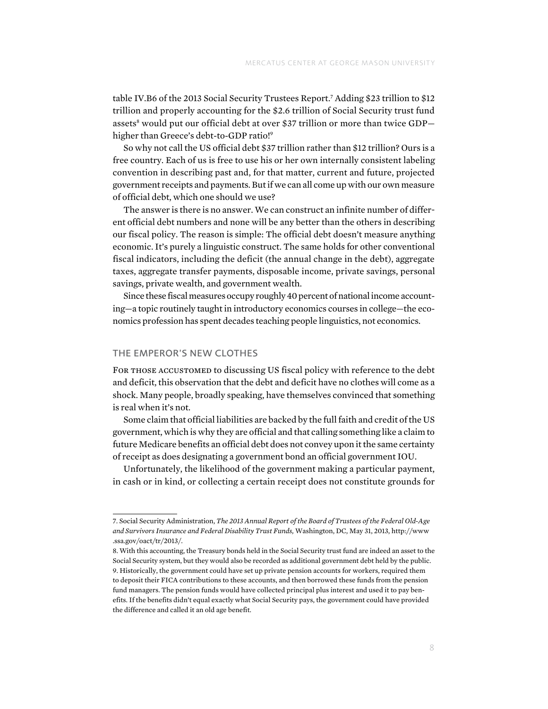table IV.B6 of the 2013 Social Security Trustees Report.7 Adding \$23 trillion to \$12 trillion and properly accounting for the \$2.6 trillion of Social Security trust fund assets<sup>8</sup> would put our official debt at over \$37 trillion or more than twice GDP higher than Greece's debt-to-GDP ratio!<sup>9</sup>

So why not call the US official debt \$37 trillion rather than \$12 trillion? Ours is a free country. Each of us is free to use his or her own internally consistent labeling convention in describing past and, for that matter, current and future, projected government receipts and payments. But if we can all come up with our own measure of official debt, which one should we use?

The answer is there is no answer. We can construct an infinite number of different official debt numbers and none will be any better than the others in describing our fiscal policy. The reason is simple: The official debt doesn't measure anything economic. It's purely a linguistic construct. The same holds for other conventional fiscal indicators, including the deficit (the annual change in the debt), aggregate taxes, aggregate transfer payments, disposable income, private savings, personal savings, private wealth, and government wealth.

Since these fiscal measures occupy roughly 40 percent of national income accounting—a topic routinely taught in introductory economics courses in college—the economics profession has spent decades teaching people linguistics, not economics.

### The Emperor's New Clothes

For those accustomed to discussing US fiscal policy with reference to the debt and deficit, this observation that the debt and deficit have no clothes will come as a shock. Many people, broadly speaking, have themselves convinced that something is real when it's not.

Some claim that official liabilities are backed by the full faith and credit of the US government, which is why they are official and that calling something like a claim to future Medicare benefits an official debt does not convey upon it the same certainty of receipt as does designating a government bond an official government IOU.

Unfortunately, the likelihood of the government making a particular payment, in cash or in kind, or collecting a certain receipt does not constitute grounds for

<sup>7.</sup> Social Security Administration, *The 2013 Annual Report of the Board of Trustees of the Federal Old-Age and Survivors Insurance and Federal Disability Trust Funds,* Washington, DC, May 31, 2013, [http://www](http://www.ssa.gov/oact/tr/2013/)  [.ssa.gov/oact/tr/2013/.](http://www.ssa.gov/oact/tr/2013/)

<sup>8.</sup> With this accounting, the Treasury bonds held in the Social Security trust fund are indeed an asset to the Social Security system, but they would also be recorded as additional government debt held by the public. 9. Historically, the government could have set up private pension accounts for workers, required them to deposit their FICA contributions to these accounts, and then borrowed these funds from the pension fund managers. The pension funds would have collected principal plus interest and used it to pay benefits. If the benefits didn't equal exactly what Social Security pays, the government could have provided the difference and called it an old age benefit.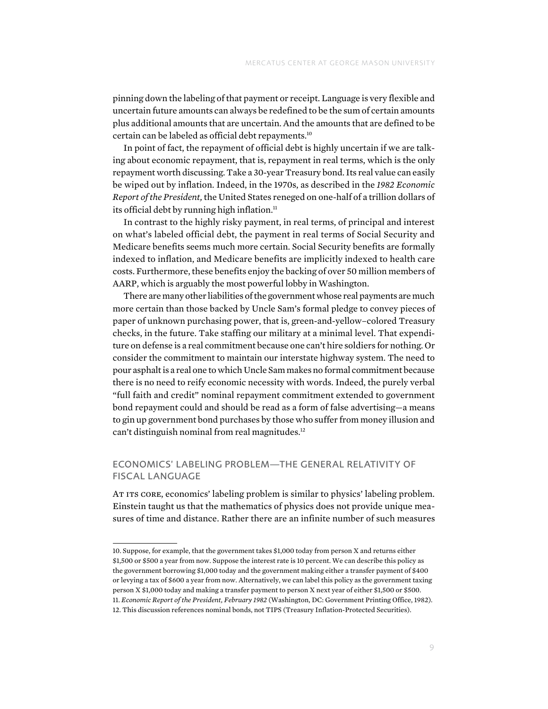pinning down the labeling of that payment or receipt. Language is very flexible and uncertain future amounts can always be redefined to be the sum of certain amounts plus additional amounts that are uncertain. And the amounts that are defined to be certain can be labeled as official debt repayments.10

In point of fact, the repayment of official debt is highly uncertain if we are talking about economic repayment, that is, repayment in real terms, which is the only repayment worth discussing. Take a 30-year Treasury bond. Its real value can easily be wiped out by inflation. Indeed, in the 1970s, as described in the *1982 Economic Report of the President,* the United States reneged on one-half of a trillion dollars of its official debt by running high inflation. $<sup>11</sup>$ </sup>

In contrast to the highly risky payment, in real terms, of principal and interest on what's labeled official debt, the payment in real terms of Social Security and Medicare benefits seems much more certain. Social Security benefits are formally indexed to inflation, and Medicare benefits are implicitly indexed to health care costs. Furthermore, these benefits enjoy the backing of over 50 million members of AARP, which is arguably the most powerful lobby in Washington.

There are many other liabilities of the government whose real payments are much more certain than those backed by Uncle Sam's formal pledge to convey pieces of paper of unknown purchasing power, that is, green-and-yellow–colored Treasury checks, in the future. Take staffing our military at a minimal level. That expenditure on defense is a real commitment because one can't hire soldiers for nothing. Or consider the commitment to maintain our interstate highway system. The need to pour asphalt is a real one to which Uncle Sam makes no formal commitment because there is no need to reify economic necessity with words. Indeed, the purely verbal "full faith and credit" nominal repayment commitment extended to government bond repayment could and should be read as a form of false advertising—a means to gin up government bond purchases by those who suffer from money illusion and can't distinguish nominal from real magnitudes.<sup>12</sup>

# ECONOMICS' LABELING PROBLEM-THE GENERAL RELATIVITY OF Fiscal Language

At its core, economics' labeling problem is similar to physics' labeling problem. Einstein taught us that the mathematics of physics does not provide unique measures of time and distance. Rather there are an infinite number of such measures

<sup>10.</sup> Suppose, for example, that the government takes \$1,000 today from person X and returns either \$1,500 or \$500 a year from now. Suppose the interest rate is 10 percent. We can describe this policy as the government borrowing \$1,000 today and the government making either a transfer payment of \$400 or levying a tax of \$600 a year from now. Alternatively, we can label this policy as the government taxing person X \$1,000 today and making a transfer payment to person X next year of either \$1,500 or \$500. 11. *Economic Report of the President, February 1982* (Washington, DC: Government Printing Office, 1982). 12. This discussion references nominal bonds, not TIPS (Treasury Inflation-Protected Securities).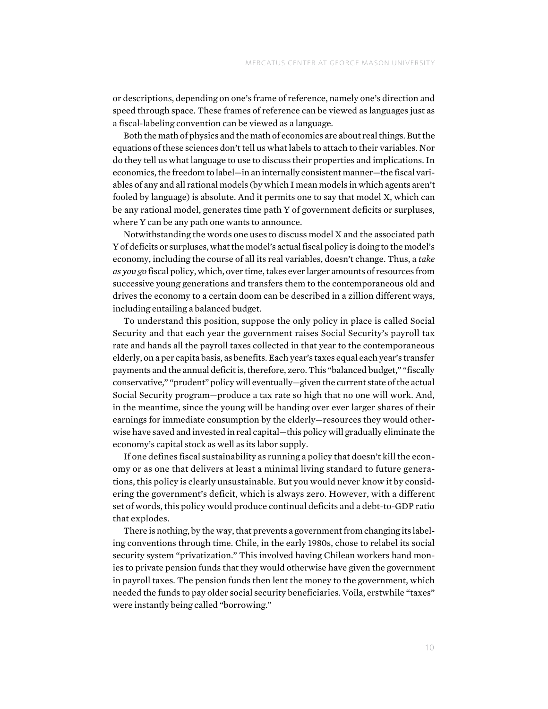or descriptions, depending on one's frame of reference, namely one's direction and speed through space. These frames of reference can be viewed as languages just as a fiscal-labeling convention can be viewed as a language.

Both the math of physics and the math of economics are about real things. But the equations of these sciences don't tell us what labels to attach to their variables. Nor do they tell us what language to use to discuss their properties and implications. In economics, the freedom to label—in an internally consistent manner—the fiscal variables of any and all rational models (by which I mean models in which agents aren't fooled by language) is absolute. And it permits one to say that model X, which can be any rational model, generates time path Y of government deficits or surpluses, where Y can be any path one wants to announce.

Notwithstanding the words one uses to discuss model X and the associated path Y of deficits or surpluses, what the model's actual fiscal policy is doing to the model's economy, including the course of all its real variables, doesn't change. Thus, a *take as you go* fiscal policy, which, over time, takes ever larger amounts of resources from successive young generations and transfers them to the contemporaneous old and drives the economy to a certain doom can be described in a zillion different ways, including entailing a balanced budget.

To understand this position, suppose the only policy in place is called Social Security and that each year the government raises Social Security's payroll tax rate and hands all the payroll taxes collected in that year to the contemporaneous elderly, on a per capita basis, as benefits. Each year's taxes equal each year's transfer payments and the annual deficit is, therefore, zero. This "balanced budget," "fiscally conservative," "prudent" policy will eventually—given the current state of the actual Social Security program—produce a tax rate so high that no one will work. And, in the meantime, since the young will be handing over ever larger shares of their earnings for immediate consumption by the elderly—resources they would otherwise have saved and invested in real capital—this policy will gradually eliminate the economy's capital stock as well as its labor supply.

If one defines fiscal sustainability as running a policy that doesn't kill the economy or as one that delivers at least a minimal living standard to future generations, this policy is clearly unsustainable. But you would never know it by considering the government's deficit, which is always zero. However, with a different set of words, this policy would produce continual deficits and a debt-to-GDP ratio that explodes.

There is nothing, by the way, that prevents a government from changing its labeling conventions through time. Chile, in the early 1980s, chose to relabel its social security system "privatization." This involved having Chilean workers hand monies to private pension funds that they would otherwise have given the government in payroll taxes. The pension funds then lent the money to the government, which needed the funds to pay older social security beneficiaries. Voila, erstwhile "taxes" were instantly being called "borrowing."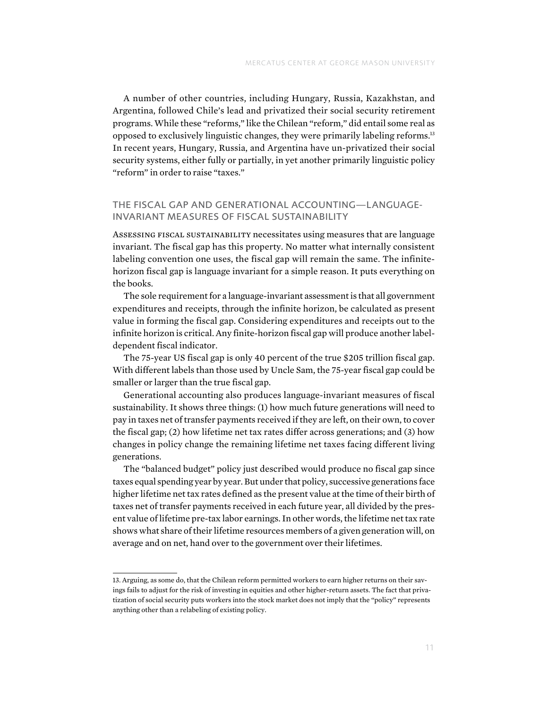A number of other countries, including Hungary, Russia, Kazakhstan, and Argentina, followed Chile's lead and privatized their social security retirement programs. While these "reforms," like the Chilean "reform," did entail some real as opposed to exclusively linguistic changes, they were primarily labeling reforms.13 In recent years, Hungary, Russia, and Argentina have un-privatized their social security systems, either fully or partially, in yet another primarily linguistic policy "reform" in order to raise "taxes."

# THE FISCAL GAP AND GENERATIONAL ACCOUNTING—LANGUAGE-Invariant Measures of Fiscal Sustainability

Assessing fiscal sustainability necessitates using measures that are language invariant. The fiscal gap has this property. No matter what internally consistent labeling convention one uses, the fiscal gap will remain the same. The infinitehorizon fiscal gap is language invariant for a simple reason. It puts everything on the books.

The sole requirement for a language-invariant assessment is that all government expenditures and receipts, through the infinite horizon, be calculated as present value in forming the fiscal gap. Considering expenditures and receipts out to the infinite horizon is critical. Any finite-horizon fiscal gap will produce another labeldependent fiscal indicator.

The 75-year US fiscal gap is only 40 percent of the true \$205 trillion fiscal gap. With different labels than those used by Uncle Sam, the 75-year fiscal gap could be smaller or larger than the true fiscal gap.

Generational accounting also produces language-invariant measures of fiscal sustainability. It shows three things: (1) how much future generations will need to pay in taxes net of transfer payments received if they are left, on their own, to cover the fiscal gap; (2) how lifetime net tax rates differ across generations; and (3) how changes in policy change the remaining lifetime net taxes facing different living generations.

The "balanced budget" policy just described would produce no fiscal gap since taxes equal spending year by year. But under that policy, successive generations face higher lifetime net tax rates defined as the present value at the time of their birth of taxes net of transfer payments received in each future year, all divided by the present value of lifetime pre-tax labor earnings. In other words, the lifetime net tax rate shows what share of their lifetime resources members of a given generation will, on average and on net, hand over to the government over their lifetimes.

<sup>13.</sup> Arguing, as some do, that the Chilean reform permitted workers to earn higher returns on their savings fails to adjust for the risk of investing in equities and other higher-return assets. The fact that privatization of social security puts workers into the stock market does not imply that the "policy" represents anything other than a relabeling of existing policy.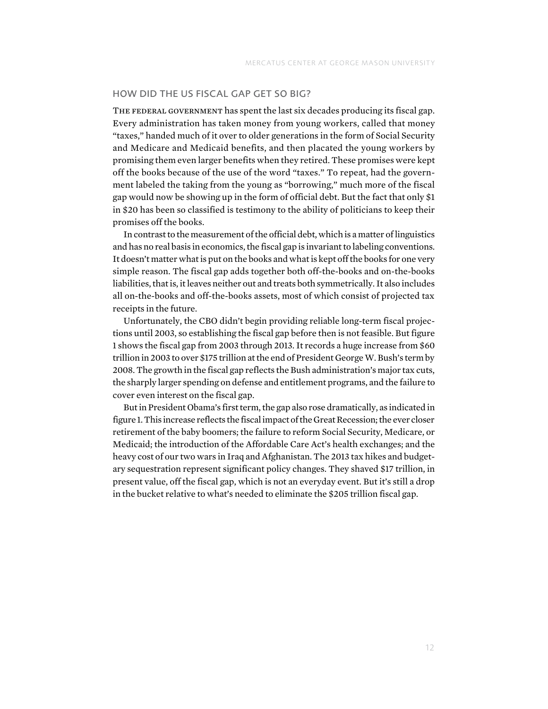# How Did the US Fiscal Gap Get So Big?

THE FEDERAL GOVERNMENT has spent the last six decades producing its fiscal gap. Every administration has taken money from young workers, called that money "taxes," handed much of it over to older generations in the form of Social Security and Medicare and Medicaid benefits, and then placated the young workers by promising them even larger benefits when they retired. These promises were kept off the books because of the use of the word "taxes." To repeat, had the government labeled the taking from the young as "borrowing," much more of the fiscal gap would now be showing up in the form of official debt. But the fact that only \$1 in \$20 has been so classified is testimony to the ability of politicians to keep their promises off the books.

In contrast to the measurement of the official debt, which is a matter of linguistics and has no real basis in economics, the fiscal gap is invariant to labeling conventions. It doesn't matter what is put on the books and what is kept off the books for one very simple reason. The fiscal gap adds together both off-the-books and on-the-books liabilities, that is, it leaves neither out and treats both symmetrically. It also includes all on-the-books and off-the-books assets, most of which consist of projected tax receipts in the future.

Unfortunately, the CBO didn't begin providing reliable long-term fiscal projections until 2003, so establishing the fiscal gap before then is not feasible. But figure 1 shows the fiscal gap from 2003 through 2013. It records a huge increase from \$60 trillion in 2003 to over \$175 trillion at the end of President George W. Bush's term by 2008. The growth in the fiscal gap reflects the Bush administration's major tax cuts, the sharply larger spending on defense and entitlement programs, and the failure to cover even interest on the fiscal gap.

But in President Obama's first term, the gap also rose dramatically, as indicated in figure 1. This increase reflects the fiscal impact of the Great Recession; the ever closer retirement of the baby boomers; the failure to reform Social Security, Medicare, or Medicaid; the introduction of the Affordable Care Act's health exchanges; and the heavy cost of our two wars in Iraq and Afghanistan. The 2013 tax hikes and budgetary sequestration represent significant policy changes. They shaved \$17 trillion, in present value, off the fiscal gap, which is not an everyday event. But it's still a drop in the bucket relative to what's needed to eliminate the \$205 trillion fiscal gap.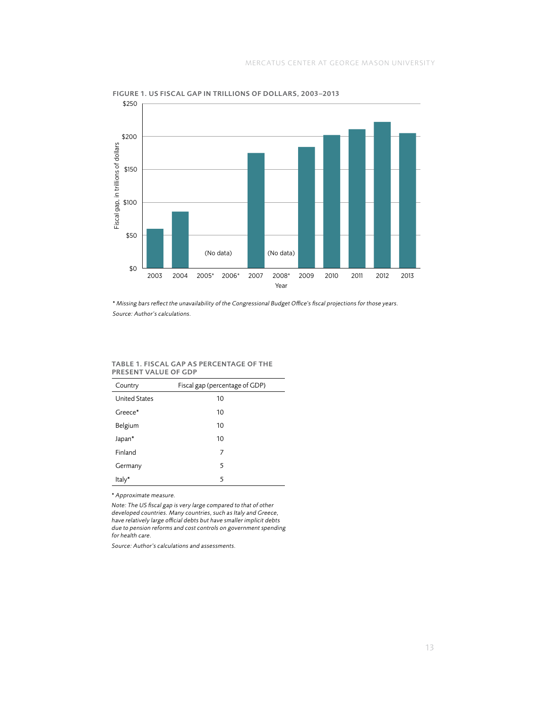

Figure 1. US Fiscal Gap in Trillions of Dollars, 2003–2013

\* *Missing bars reflect the unavailability of the Congressional Budget Office's fiscal projections for those years. Source: Author's calculations.*

#### Table 1. Fiscal Gap as Percentage of the Present Value of GDP

| . . <i>.</i><br>---------<br>--- |                                |  |  |  |
|----------------------------------|--------------------------------|--|--|--|
| Country                          | Fiscal gap (percentage of GDP) |  |  |  |
| <b>United States</b>             | 10                             |  |  |  |
| Greece*                          | 10                             |  |  |  |
| Belgium                          | 10                             |  |  |  |
| Japan*                           | 10                             |  |  |  |
| Finland                          | 7                              |  |  |  |
| Germany                          | 5                              |  |  |  |
| Italy*                           | 5                              |  |  |  |

\* *Approximate measure.*

*Note: The US fiscal gap is very large compared to that of other developed countries. Many countries, such as Italy and Greece, have relatively large official debts but have smaller implicit debts due to pension reforms and cost controls on government spending for health care.*

*Source: Author's calculations and assessments.*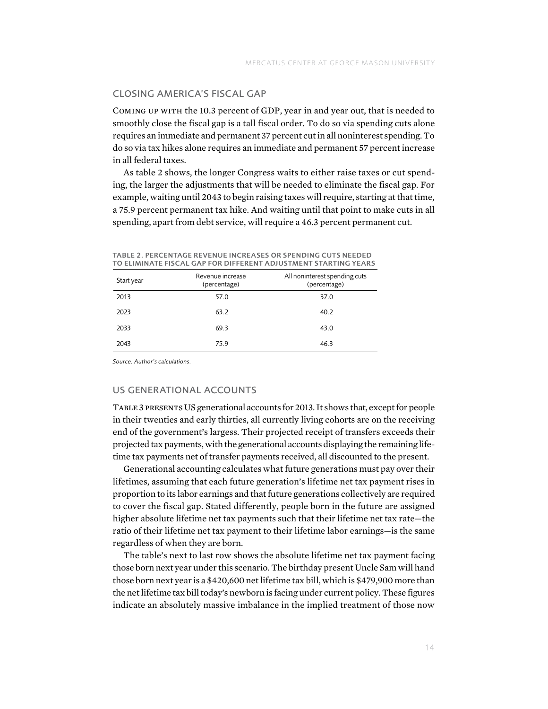# Closing America's Fiscal Gap

Coming up with the 10.3 percent of GDP, year in and year out, that is needed to smoothly close the fiscal gap is a tall fiscal order. To do so via spending cuts alone requires an immediate and permanent 37 percent cut in all noninterest spending. To do so via tax hikes alone requires an immediate and permanent 57 percent increase in all federal taxes.

As table 2 shows, the longer Congress waits to either raise taxes or cut spending, the larger the adjustments that will be needed to eliminate the fiscal gap. For example, waiting until 2043 to begin raising taxes will require, starting at that time, a 75.9 percent permanent tax hike. And waiting until that point to make cuts in all spending, apart from debt service, will require a 46.3 percent permanent cut.

| Start year | Revenue increase<br>(percentage) | All noninterest spending cuts<br>(percentage) |  |  |  |
|------------|----------------------------------|-----------------------------------------------|--|--|--|
| 2013       | 57.0                             | 37.0                                          |  |  |  |
| 2023       | 63.2                             | 40.2                                          |  |  |  |
| 2033       | 69.3                             | 43.0                                          |  |  |  |
| 2043       | 75.9                             | 46.3                                          |  |  |  |

|  | TABLE 2. PERCENTAGE REVENUE INCREASES OR SPENDING CUTS NEEDED   |  |  |  |  |  |
|--|-----------------------------------------------------------------|--|--|--|--|--|
|  | TO ELIMINATE FISCAL GAP FOR DIFFERENT ADJUSTMENT STARTING YEARS |  |  |  |  |  |

*Source: Author's calculations.*

# US GENERATIONAL ACCOUNTS

Table 3 presents US generational accounts for 2013. It shows that, except for people in their twenties and early thirties, all currently living cohorts are on the receiving end of the government's largess. Their projected receipt of transfers exceeds their projected tax payments, with the generational accounts displaying the remaining lifetime tax payments net of transfer payments received, all discounted to the present.

Generational accounting calculates what future generations must pay over their lifetimes, assuming that each future generation's lifetime net tax payment rises in proportion to its labor earnings and that future generations collectively are required to cover the fiscal gap. Stated differently, people born in the future are assigned higher absolute lifetime net tax payments such that their lifetime net tax rate—the ratio of their lifetime net tax payment to their lifetime labor earnings—is the same regardless of when they are born.

The table's next to last row shows the absolute lifetime net tax payment facing those born next year under this scenario. The birthday present Uncle Sam will hand those born next year is a \$420,600 net lifetime tax bill, which is \$479,900 more than the net lifetime tax bill today's newborn is facing under current policy. These figures indicate an absolutely massive imbalance in the implied treatment of those now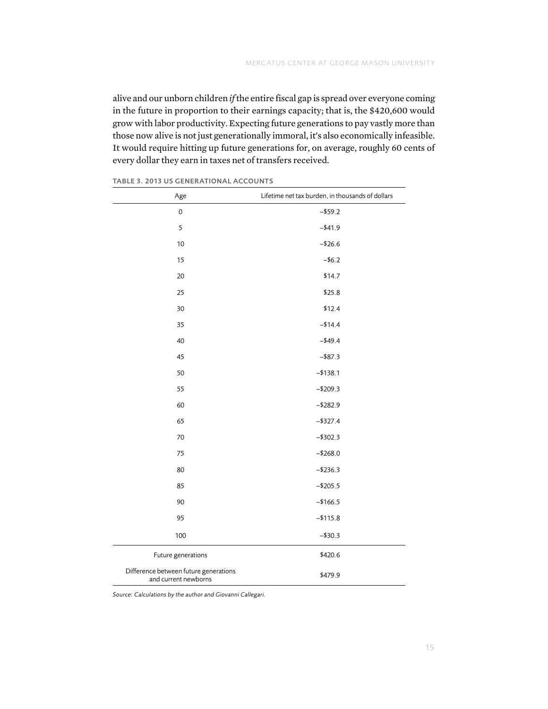alive and our unborn children *if* the entire fiscal gap is spread over everyone coming in the future in proportion to their earnings capacity; that is, the \$420,600 would grow with labor productivity. Expecting future generations to pay vastly more than those now alive is not just generationally immoral, it's also economically infeasible. It would require hitting up future generations for, on average, roughly 60 cents of every dollar they earn in taxes net of transfers received.

| Age                                                           | Lifetime net tax burden, in thousands of dollars |
|---------------------------------------------------------------|--------------------------------------------------|
| $\mathsf{O}\xspace$                                           | $- $59.2$                                        |
| 5                                                             | $-441.9$                                         |
| 10                                                            | $- $26.6$                                        |
| 15                                                            | $- $6.2$                                         |
| 20                                                            | \$14.7                                           |
| 25                                                            | \$25.8                                           |
| 30                                                            | \$12.4                                           |
| 35                                                            | $-114.4$                                         |
| 40                                                            | $-449.4$                                         |
| 45                                                            | $-$ \$87.3                                       |
| 50                                                            | $- $138.1$                                       |
| 55                                                            | $-$209.3$                                        |
| 60                                                            | $- $282.9$                                       |
| 65                                                            | $- $327.4$                                       |
| 70                                                            | $- $302.3$                                       |
| 75                                                            | $- $268.0$                                       |
| 80                                                            | $- $236.3$                                       |
| 85                                                            | $-$205.5$                                        |
| 90                                                            | $-$166.5$                                        |
| 95                                                            | $- $115.8$                                       |
| 100                                                           | $- $30.3$                                        |
| Future generations                                            | \$420.6                                          |
| Difference between future generations<br>and current newborns | \$479.9                                          |

Table 3. 2013 US Generational Accounts

*Source: Calculations by the author and Giovanni Callegari.*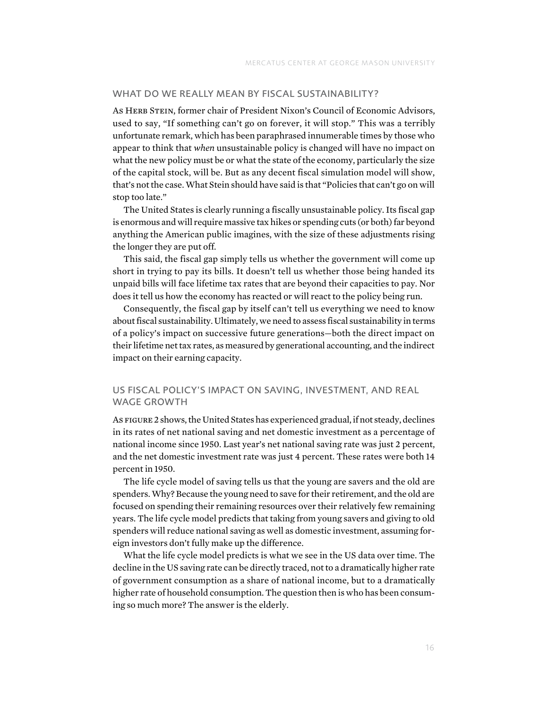#### WHAT DO WE REALLY MEAN BY FISCAL SUSTAINABILITY?

As HERB STEIN, former chair of President Nixon's Council of Economic Advisors, used to say, "If something can't go on forever, it will stop." This was a terribly unfortunate remark, which has been paraphrased innumerable times by those who appear to think that *when* unsustainable policy is changed will have no impact on what the new policy must be or what the state of the economy, particularly the size of the capital stock, will be. But as any decent fiscal simulation model will show, that's not the case. What Stein should have said is that "Policies that can't go on will stop too late."

The United States is clearly running a fiscally unsustainable policy. Its fiscal gap is enormous and will require massive tax hikes or spending cuts (or both) far beyond anything the American public imagines, with the size of these adjustments rising the longer they are put off.

This said, the fiscal gap simply tells us whether the government will come up short in trying to pay its bills. It doesn't tell us whether those being handed its unpaid bills will face lifetime tax rates that are beyond their capacities to pay. Nor does it tell us how the economy has reacted or will react to the policy being run.

Consequently, the fiscal gap by itself can't tell us everything we need to know about fiscal sustainability. Ultimately, we need to assess fiscal sustainability in terms of a policy's impact on successive future generations—both the direct impact on their lifetime net tax rates, as measured by generational accounting, and the indirect impact on their earning capacity.

# US Fiscal Policy's Impact on Saving, Investment, and Real Wage Growth

As figure 2 shows, the United States has experienced gradual, if not steady, declines in its rates of net national saving and net domestic investment as a percentage of national income since 1950. Last year's net national saving rate was just 2 percent, and the net domestic investment rate was just 4 percent. These rates were both 14 percent in 1950.

The life cycle model of saving tells us that the young are savers and the old are spenders. Why? Because the young need to save for their retirement, and the old are focused on spending their remaining resources over their relatively few remaining years. The life cycle model predicts that taking from young savers and giving to old spenders will reduce national saving as well as domestic investment, assuming foreign investors don't fully make up the difference.

What the life cycle model predicts is what we see in the US data over time. The decline in the US saving rate can be directly traced, not to a dramatically higher rate of government consumption as a share of national income, but to a dramatically higher rate of household consumption. The question then is who has been consuming so much more? The answer is the elderly.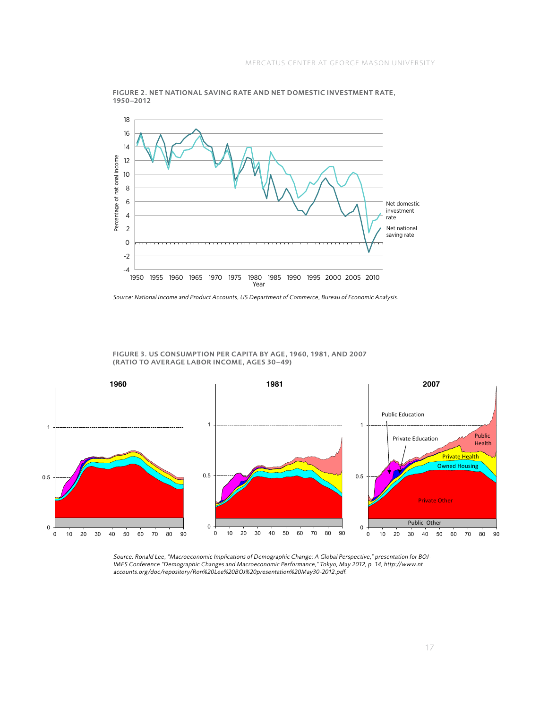

Figure 2. Net National Saving Rate and Net Domestic Investment Rate, 1950–2012



FIGURE 3. US CONSUMPTION PER CAPITA BY AGE, 1960, 1981, AND 2007 (ratio to average labor income, ages 30–49)

*Source: Ronald Lee, "Macroeconomic Implications of Demographic Change: A Global Perspective," presentation for BOJ-IMES Conference "Demographic Changes and Macroeconomic Performance," Tokyo, May 2012, p. 14, [http://www.nt](http://www.ntaccounts.org/doc/repository/Ron%20Lee%20BOJ%20presentation%20May30-2012.pdf)* [accounts.org/doc/repository/Ron%20Lee%20BOJ%20presentation%20May30-2012.pdf.](http://www.ntaccounts.org/doc/repository/Ron%20Lee%20BOJ%20presentation%20May30-2012.pdf)<br>.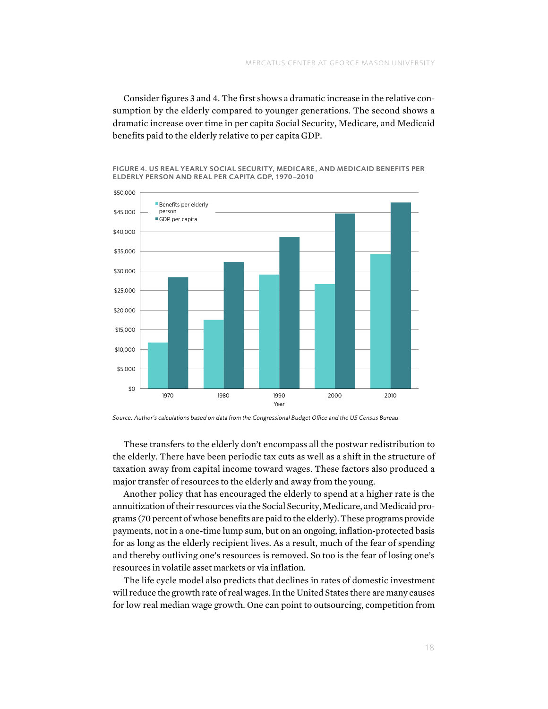Consider figures 3 and 4. The first shows a dramatic increase in the relative consumption by the elderly compared to younger generations. The second shows a dramatic increase over time in per capita Social Security, Medicare, and Medicaid benefits paid to the elderly relative to per capita GDP.



Figure 4. US Real Yearly Social Security , Medicare, and Medicaid Benefits per ELDERLY PERSON AND REAL PER CAPITA GDP, 1970-2010

These transfers to the elderly don't encompass all the postwar redistribution to the elderly. There have been periodic tax cuts as well as a shift in the structure of taxation away from capital income toward wages. These factors also produced a major transfer of resources to the elderly and away from the young.

Another policy that has encouraged the elderly to spend at a higher rate is the annuitization of their resources via the Social Security, Medicare, and Medicaid programs (70 percent of whose benefits are paid to the elderly). These programs provide payments, not in a one-time lump sum, but on an ongoing, inflation-protected basis for as long as the elderly recipient lives. As a result, much of the fear of spending and thereby outliving one's resources is removed. So too is the fear of losing one's resources in volatile asset markets or via inflation.

The life cycle model also predicts that declines in rates of domestic investment will reduce the growth rate of real wages. In the United States there are many causes for low real median wage growth. One can point to outsourcing, competition from

*Source: Author's calculations based on data from the Congressional Budget Office and the US Census Bureau.*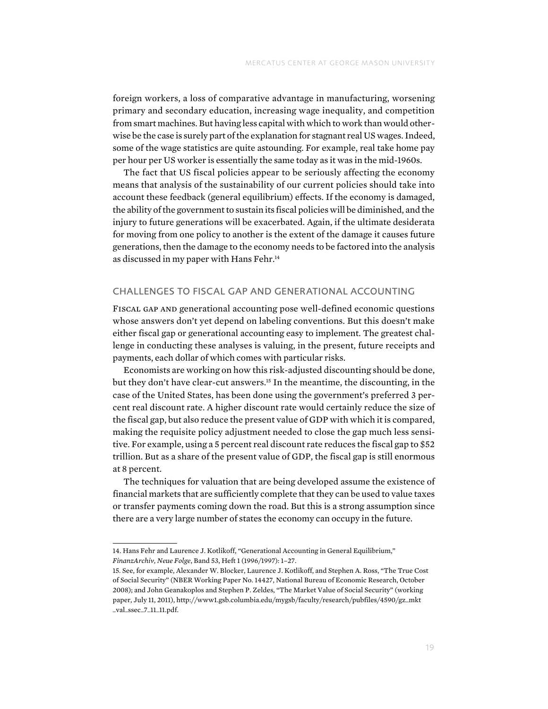foreign workers, a loss of comparative advantage in manufacturing, worsening primary and secondary education, increasing wage inequality, and competition from smart machines. But having less capital with which to work than would otherwise be the case is surely part of the explanation for stagnant real US wages. Indeed, some of the wage statistics are quite astounding. For example, real take home pay per hour per US worker is essentially the same today as it was in the mid-1960s.

The fact that US fiscal policies appear to be seriously affecting the economy means that analysis of the sustainability of our current policies should take into account these feedback (general equilibrium) effects. If the economy is damaged, the ability of the government to sustain its fiscal policies will be diminished, and the injury to future generations will be exacerbated. Again, if the ultimate desiderata for moving from one policy to another is the extent of the damage it causes future generations, then the damage to the economy needs to be factored into the analysis as discussed in my paper with Hans Fehr.<sup>14</sup>

# CHALLENGES TO FISCAL GAP AND GENERATIONAL ACCOUNTING

Fiscal gap and generational accounting pose well-defined economic questions whose answers don't yet depend on labeling conventions. But this doesn't make either fiscal gap or generational accounting easy to implement. The greatest challenge in conducting these analyses is valuing, in the present, future receipts and payments, each dollar of which comes with particular risks.

Economists are working on how this risk-adjusted discounting should be done, but they don't have clear-cut answers.<sup>15</sup> In the meantime, the discounting, in the case of the United States, has been done using the government's preferred 3 percent real discount rate. A higher discount rate would certainly reduce the size of the fiscal gap, but also reduce the present value of GDP with which it is compared, making the requisite policy adjustment needed to close the gap much less sensitive. For example, using a 5 percent real discount rate reduces the fiscal gap to \$52 trillion. But as a share of the present value of GDP, the fiscal gap is still enormous at 8 percent.

The techniques for valuation that are being developed assume the existence of financial markets that are sufficiently complete that they can be used to value taxes or transfer payments coming down the road. But this is a strong assumption since there are a very large number of states the economy can occupy in the future.

<sup>14.</sup> Hans Fehr and Laurence J. Kotlikoff, "Generational Accounting in General Equilibrium," *FinanzArchiv, Neue Folge*, Band 53, Heft 1 (1996/1997): 1–27.

<sup>15.</sup> See, for example, Alexander W. Blocker, Laurence J. Kotlikoff, and Stephen A. Ross, "The True Cost of Social Security" (NBER Working Paper No. 14427, National Bureau of Economic Research, October 2008); and John Geanakoplos and Stephen P. Zeldes, "The Market Value of Social Security" (working paper, July 11, 2011), [http://www1.gsb.columbia.edu/mygsb/faculty/research/pubfiles/4590/gz\\_mkt](http://www1.gsb.columbia.edu/mygsb/faculty/research/pubfiles/4590/gz_mkt_val_ssec_7_11_11.pdf) [\\_val\\_ssec\\_7\\_11\\_11.pdf.](http://www1.gsb.columbia.edu/mygsb/faculty/research/pubfiles/4590/gz_mkt_val_ssec_7_11_11.pdf)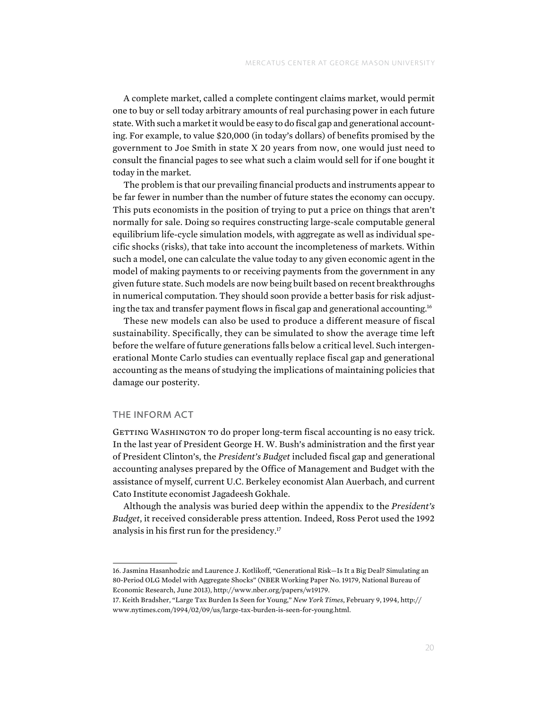A complete market, called a complete contingent claims market, would permit one to buy or sell today arbitrary amounts of real purchasing power in each future state. With such a market it would be easy to do fiscal gap and generational accounting. For example, to value \$20,000 (in today's dollars) of benefits promised by the government to Joe Smith in state X 20 years from now, one would just need to consult the financial pages to see what such a claim would sell for if one bought it today in the market.

The problem is that our prevailing financial products and instruments appear to be far fewer in number than the number of future states the economy can occupy. This puts economists in the position of trying to put a price on things that aren't normally for sale. Doing so requires constructing large-scale computable general equilibrium life-cycle simulation models, with aggregate as well as individual specific shocks (risks), that take into account the incompleteness of markets. Within such a model, one can calculate the value today to any given economic agent in the model of making payments to or receiving payments from the government in any given future state. Such models are now being built based on recent breakthroughs in numerical computation. They should soon provide a better basis for risk adjusting the tax and transfer payment flows in fiscal gap and generational accounting.16

These new models can also be used to produce a different measure of fiscal sustainability. Specifically, they can be simulated to show the average time left before the welfare of future generations falls below a critical level. Such intergenerational Monte Carlo studies can eventually replace fiscal gap and generational accounting as the means of studying the implications of maintaining policies that damage our posterity.

# The Inform Act

GETTING WASHINGTON TO do proper long-term fiscal accounting is no easy trick. In the last year of President George H. W. Bush's administration and the first year of President Clinton's, the *President's Budget* included fiscal gap and generational accounting analyses prepared by the Office of Management and Budget with the assistance of myself, current U.C. Berkeley economist Alan Auerbach, and current Cato Institute economist Jagadeesh Gokhale.

Although the analysis was buried deep within the appendix to the *President's Budget*, it received considerable press attention. Indeed, Ross Perot used the 1992 analysis in his first run for the presidency.17

<sup>16.</sup> Jasmina Hasanhodzic and Laurence J. Kotlikoff, "Generational Risk—Is It a Big Deal? Simulating an 80-Period OLG Model with Aggregate Shocks" (NBER Working Paper No. 19179, National Bureau of Economic Research, June 2013),<http://www.nber.org/papers/w19179>.

<sup>17.</sup> Keith Bradsher, "Large Tax Burden Is Seen for Young," *New York Times*, February 9, 1994, [http://](http://www.nytimes.com/1994/02/09/us/large-tax-burden-is-seen-for-young.html) [www.nytimes.com/1994/02/09/us/large-tax-burden-is-seen-for-young.html.](http://www.nytimes.com/1994/02/09/us/large-tax-burden-is-seen-for-young.html)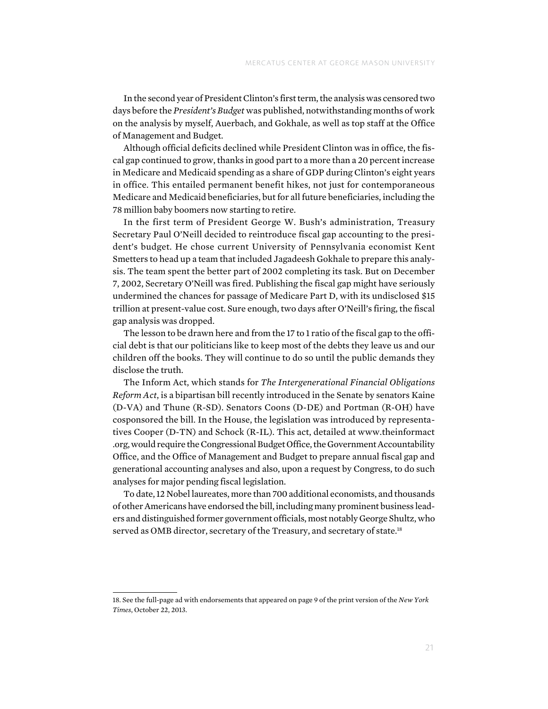In the second year of President Clinton's first term, the analysis was censored two days before the *President's Budget* was published, notwithstanding months of work on the analysis by myself, Auerbach, and Gokhale, as well as top staff at the Office of Management and Budget.

Although official deficits declined while President Clinton was in office, the fiscal gap continued to grow, thanks in good part to a more than a 20 percent increase in Medicare and Medicaid spending as a share of GDP during Clinton's eight years in office. This entailed permanent benefit hikes, not just for contemporaneous Medicare and Medicaid beneficiaries, but for all future beneficiaries, including the 78 million baby boomers now starting to retire.

In the first term of President George W. Bush's administration, Treasury Secretary Paul O'Neill decided to reintroduce fiscal gap accounting to the president's budget. He chose current University of Pennsylvania economist Kent Smetters to head up a team that included Jagadeesh Gokhale to prepare this analysis. The team spent the better part of 2002 completing its task. But on December 7, 2002, Secretary O'Neill was fired. Publishing the fiscal gap might have seriously undermined the chances for passage of Medicare Part D, with its undisclosed \$15 trillion at present-value cost. Sure enough, two days after O'Neill's firing, the fiscal gap analysis was dropped.

The lesson to be drawn here and from the 17 to 1 ratio of the fiscal gap to the official debt is that our politicians like to keep most of the debts they leave us and our children off the books. They will continue to do so until the public demands they disclose the truth.

The Inform Act, which stands for *The Intergenerational Financial Obligations Reform Act*, is a bipartisan bill recently introduced in the Senate by senators Kaine (D-VA) and Thune (R-SD). Senators Coons (D-DE) and Portman (R-OH) have cosponsored the bill. In the House, the legislation was introduced by representatives Cooper (D-TN) and Schock (R-IL). This act, detailed at [www.theinformact](http://www.theinformact.org/) [.org,](http://www.theinformact.org/) would require the Congressional Budget Office, the Government Accountability Office, and the Office of Management and Budget to prepare annual fiscal gap and generational accounting analyses and also, upon a request by Congress, to do such analyses for major pending fiscal legislation.

To date, 12 Nobel laureates, more than 700 additional economists, and thousands of other Americans have endorsed the bill, including many prominent business leaders and distinguished former government officials, most notably George Shultz, who served as OMB director, secretary of the Treasury, and secretary of state.<sup>18</sup>

<sup>18.</sup> See the full-page ad with endorsements that appeared on page 9 of the print version of the *New York Times*, October 22, 2013.